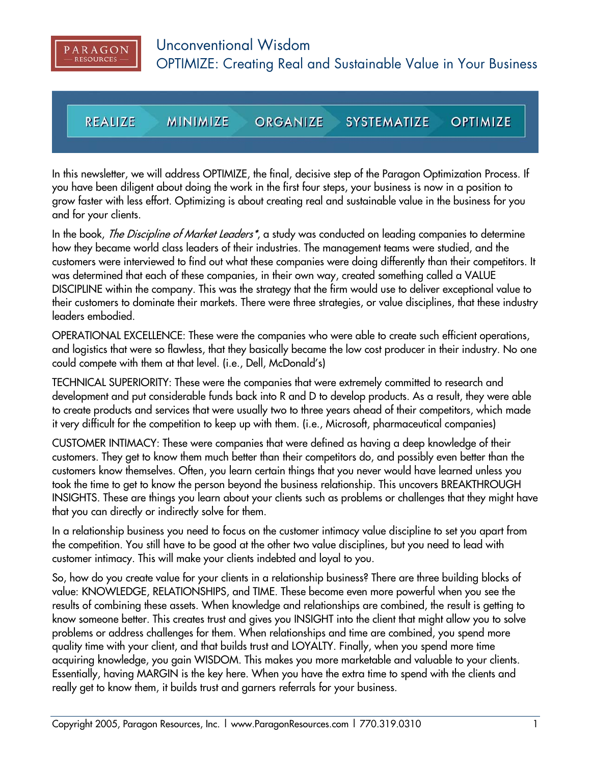

**REALIZE MINIMIZE SYSTEMATIZE OPTIMIZE ORGANIZE** 

In this newsletter, we will address OPTIMIZE, the final, decisive step of the Paragon Optimization Process. If you have been diligent about doing the work in the first four steps, your business is now in a position to grow faster with less effort. Optimizing is about creating real and sustainable value in the business for you and for your clients.

In the book, *The Discipline of Market Leaders<sup>\*</sup>*, a study was conducted on leading companies to determine how they became world class leaders of their industries. The management teams were studied, and the customers were interviewed to find out what these companies were doing differently than their competitors. It was determined that each of these companies, in their own way, created something called a VALUE DISCIPLINE within the company. This was the strategy that the firm would use to deliver exceptional value to their customers to dominate their markets. There were three strategies, or value disciplines, that these industry leaders embodied.

OPERATIONAL EXCELLENCE: These were the companies who were able to create such efficient operations, and logistics that were so flawless, that they basically became the low cost producer in their industry. No one could compete with them at that level. (i.e., Dell, McDonald's)

TECHNICAL SUPERIORITY: These were the companies that were extremely committed to research and development and put considerable funds back into R and D to develop products. As a result, they were able to create products and services that were usually two to three years ahead of their competitors, which made it very difficult for the competition to keep up with them. (i.e., Microsoft, pharmaceutical companies)

CUSTOMER INTIMACY: These were companies that were defined as having a deep knowledge of their customers. They get to know them much better than their competitors do, and possibly even better than the customers know themselves. Often, you learn certain things that you never would have learned unless you took the time to get to know the person beyond the business relationship. This uncovers BREAKTHROUGH INSIGHTS. These are things you learn about your clients such as problems or challenges that they might have that you can directly or indirectly solve for them.

In a relationship business you need to focus on the customer intimacy value discipline to set you apart from the competition. You still have to be good at the other two value disciplines, but you need to lead with customer intimacy. This will make your clients indebted and loyal to you.

So, how do you create value for your clients in a relationship business? There are three building blocks of value: KNOWLEDGE, RELATIONSHIPS, and TIME. These become even more powerful when you see the results of combining these assets. When knowledge and relationships are combined, the result is getting to know someone better. This creates trust and gives you INSIGHT into the client that might allow you to solve problems or address challenges for them. When relationships and time are combined, you spend more quality time with your client, and that builds trust and LOYALTY. Finally, when you spend more time acquiring knowledge, you gain WISDOM. This makes you more marketable and valuable to your clients. Essentially, having MARGIN is the key here. When you have the extra time to spend with the clients and really get to know them, it builds trust and garners referrals for your business.